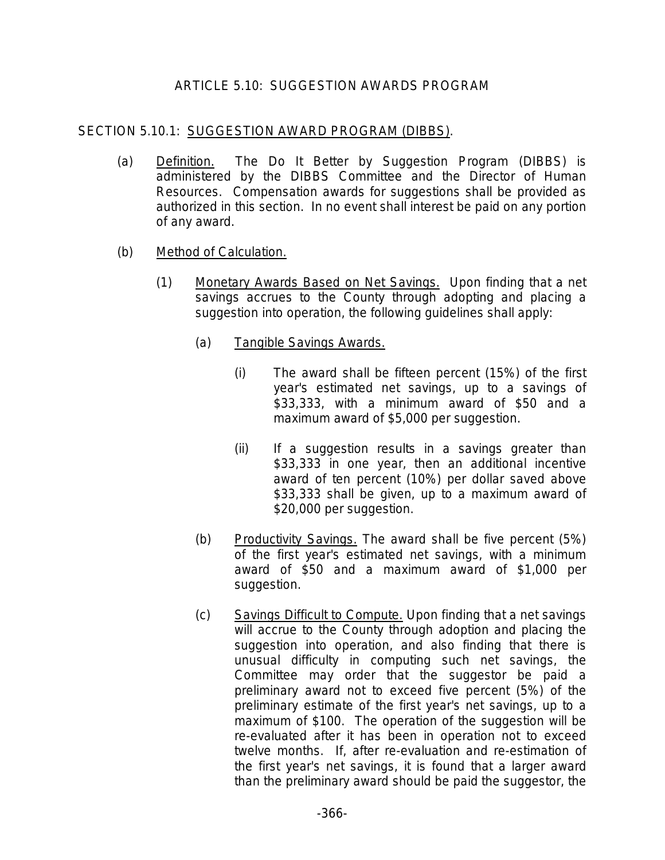## ARTICLE 5.10: SUGGESTION AWARDS PROGRAM

## SECTION 5.10.1: SUGGESTION AWARD PROGRAM (DIBBS).

- (a) Definition. The Do It Better by Suggestion Program (DIBBS) is administered by the DIBBS Committee and the Director of Human Resources. Compensation awards for suggestions shall be provided as authorized in this section. In no event shall interest be paid on any portion of any award.
- (b) Method of Calculation.
	- (1) Monetary Awards Based on Net Savings. Upon finding that a net savings accrues to the County through adopting and placing a suggestion into operation, the following guidelines shall apply:
		- (a) Tangible Savings Awards.
			- (i) The award shall be fifteen percent (15%) of the first year's estimated net savings, up to a savings of \$33,333, with a minimum award of \$50 and a maximum award of \$5,000 per suggestion.
			- (ii) If a suggestion results in a savings greater than \$33,333 in one year, then an additional incentive award of ten percent (10%) per dollar saved above \$33,333 shall be given, up to a maximum award of \$20,000 per suggestion.
		- (b) Productivity Savings. The award shall be five percent (5%) of the first year's estimated net savings, with a minimum award of \$50 and a maximum award of \$1,000 per suggestion.
		- (c) Savings Difficult to Compute. Upon finding that a net savings will accrue to the County through adoption and placing the suggestion into operation, and also finding that there is unusual difficulty in computing such net savings, the Committee may order that the suggestor be paid a preliminary award not to exceed five percent (5%) of the preliminary estimate of the first year's net savings, up to a maximum of \$100. The operation of the suggestion will be re-evaluated after it has been in operation not to exceed twelve months. If, after re-evaluation and re-estimation of the first year's net savings, it is found that a larger award than the preliminary award should be paid the suggestor, the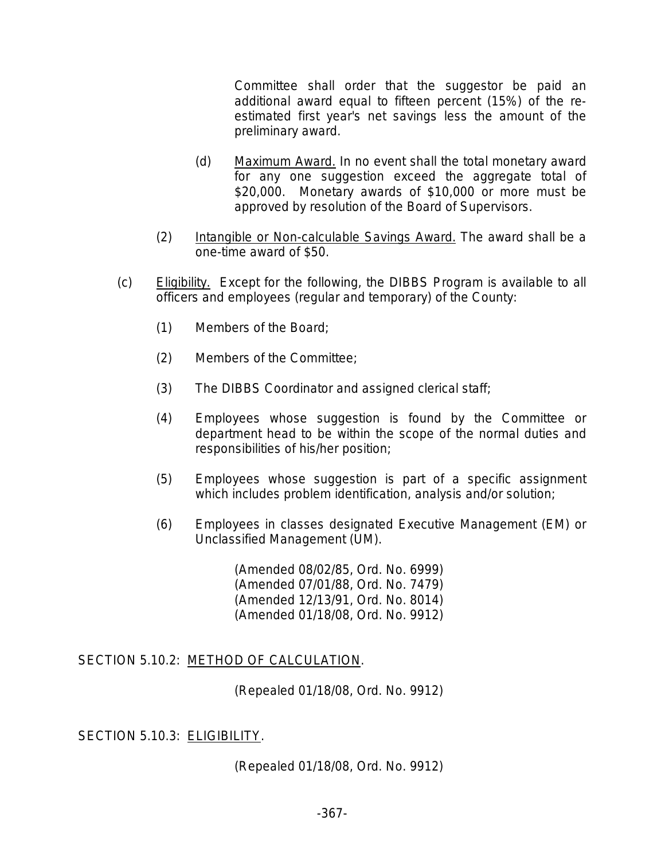Committee shall order that the suggestor be paid an additional award equal to fifteen percent (15%) of the reestimated first year's net savings less the amount of the preliminary award.

- (d) Maximum Award. In no event shall the total monetary award for any one suggestion exceed the aggregate total of \$20,000. Monetary awards of \$10,000 or more must be approved by resolution of the Board of Supervisors.
- (2) Intangible or Non-calculable Savings Award. The award shall be a one-time award of \$50.
- (c) Eligibility. Except for the following, the DIBBS Program is available to all officers and employees (regular and temporary) of the County:
	- (1) Members of the Board;
	- (2) Members of the Committee;
	- (3) The DIBBS Coordinator and assigned clerical staff;
	- (4) Employees whose suggestion is found by the Committee or department head to be within the scope of the normal duties and responsibilities of his/her position;
	- (5) Employees whose suggestion is part of a specific assignment which includes problem identification, analysis and/or solution;
	- (6) Employees in classes designated Executive Management (EM) or Unclassified Management (UM).

(Amended 08/02/85, Ord. No. 6999) (Amended 07/01/88, Ord. No. 7479) (Amended 12/13/91, Ord. No. 8014) (Amended 01/18/08, Ord. No. 9912)

SECTION 5.10.2: METHOD OF CALCULATION.

(Repealed 01/18/08, Ord. No. 9912)

## SECTION 5.10.3: ELIGIBILITY.

(Repealed 01/18/08, Ord. No. 9912)